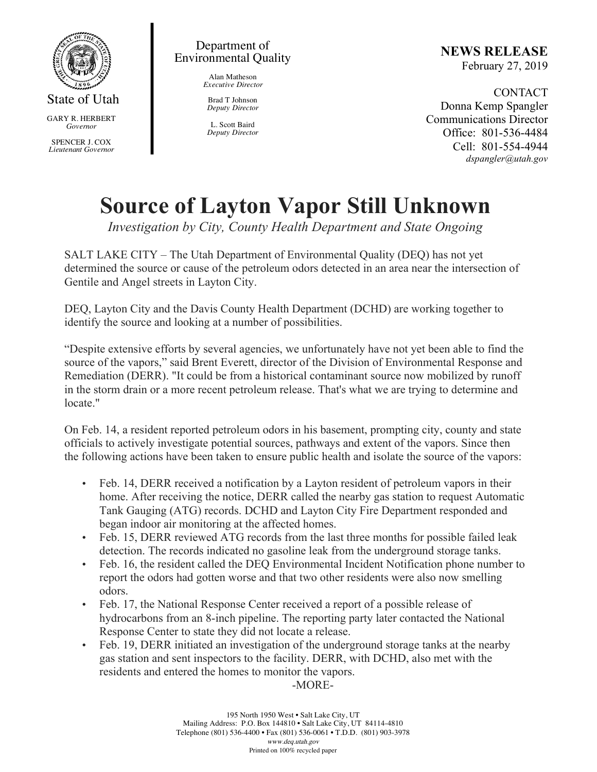

State of Utah

GARY R. HERBERT *Governor*

SPENCER J. COX *Lieutenant Governor*

## Department of Environmental Quality

Alan Matheson *Executive Director*

Brad T Johnson *Deputy Director*

L. Scott Baird *Deputy Director* **NEWS RELEASE** February 27, 2019

CONTACT Donna Kemp Spangler Communications Director Office: 801-536-4484 Cell: 801-554-4944 *dspangler@utah.gov*

## **Source of Layton Vapor Still Unknown**

*Investigation by City, County Health Department and State Ongoing*

SALT LAKE CITY – The Utah Department of Environmental Quality (DEQ) has not yet determined the source or cause of the petroleum odors detected in an area near the intersection of Gentile and Angel streets in Layton City.

DEQ, Layton City and the Davis County Health Department (DCHD) are working together to identify the source and looking at a number of possibilities.

"Despite extensive efforts by several agencies, we unfortunately have not yet been able to find the source of the vapors," said Brent Everett, director of the Division of Environmental Response and Remediation (DERR). "It could be from a historical contaminant source now mobilized by runoff in the storm drain or a more recent petroleum release. That's what we are trying to determine and locate."

On Feb. 14, a resident reported petroleum odors in his basement, prompting city, county and state officials to actively investigate potential sources, pathways and extent of the vapors. Since then the following actions have been taken to ensure public health and isolate the source of the vapors:

- Feb. 14, DERR received a notification by a Layton resident of petroleum vapors in their home. After receiving the notice, DERR called the nearby gas station to request Automatic Tank Gauging (ATG) records. DCHD and Layton City Fire Department responded and began indoor air monitoring at the affected homes.
- Feb. 15, DERR reviewed ATG records from the last three months for possible failed leak detection. The records indicated no gasoline leak from the underground storage tanks.
- Feb. 16, the resident called the DEQ Environmental Incident Notification phone number to report the odors had gotten worse and that two other residents were also now smelling odors.
- Feb. 17, the National Response Center received a report of a possible release of hydrocarbons from an 8-inch pipeline. The reporting party later contacted the National Response Center to state they did not locate a release.
- Feb. 19, DERR initiated an investigation of the underground storage tanks at the nearby gas station and sent inspectors to the facility. DERR, with DCHD, also met with the residents and entered the homes to monitor the vapors.

-MORE-